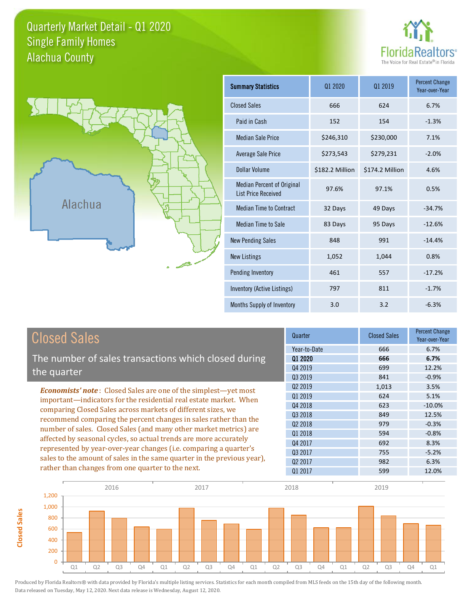## Quarterly Market Detail - Q1 2020 Alachua County Single Family Homes





**Closed Sales**

**Closed Sales** 

| <b>Summary Statistics</b>                                       | 01 2020         | 01 2019         | <b>Percent Change</b><br>Year-over-Year |
|-----------------------------------------------------------------|-----------------|-----------------|-----------------------------------------|
| <b>Closed Sales</b>                                             | 666             | 624             | 6.7%                                    |
| Paid in Cash                                                    | 152             | 154             | $-1.3%$                                 |
| <b>Median Sale Price</b>                                        | \$246,310       | \$230,000       | 7.1%                                    |
| <b>Average Sale Price</b>                                       | \$273,543       | \$279,231       | $-2.0%$                                 |
| Dollar Volume                                                   | \$182.2 Million | \$174.2 Million | 4.6%                                    |
| <b>Median Percent of Original</b><br><b>List Price Received</b> | 97.6%           | 97.1%           | 0.5%                                    |
| <b>Median Time to Contract</b>                                  | 32 Days         | 49 Days         | $-34.7%$                                |
| Median Time to Sale                                             | 83 Days         | 95 Days         | $-12.6%$                                |
| <b>New Pending Sales</b>                                        | 848             | 991             | $-14.4%$                                |
| <b>New Listings</b>                                             | 1,052           | 1,044           | 0.8%                                    |
| <b>Pending Inventory</b>                                        | 461             | 557             | $-17.2%$                                |
| Inventory (Active Listings)                                     | 797             | 811             | $-1.7%$                                 |
| Months Supply of Inventory                                      | 3.0             | 3.2             | $-6.3%$                                 |

| <b>Closed Sales</b>                                                                                                                                                                                   | Quarter             | <b>Closed Sales</b> | <b>Percent Change</b><br>Year-over-Year |
|-------------------------------------------------------------------------------------------------------------------------------------------------------------------------------------------------------|---------------------|---------------------|-----------------------------------------|
|                                                                                                                                                                                                       | Year-to-Date        | 666                 | 6.7%                                    |
| The number of sales transactions which closed during                                                                                                                                                  | 01 2020             | 666                 | 6.7%                                    |
| the quarter                                                                                                                                                                                           | Q4 2019             | 699                 | 12.2%                                   |
|                                                                                                                                                                                                       | 03 2019             | 841                 | $-0.9%$                                 |
| <b>Economists' note:</b> Closed Sales are one of the simplest—yet most                                                                                                                                | Q <sub>2</sub> 2019 | 1,013               | 3.5%                                    |
| important—indicators for the residential real estate market. When                                                                                                                                     | Q1 2019             | 624                 | 5.1%                                    |
| comparing Closed Sales across markets of different sizes, we<br>recommend comparing the percent changes in sales rather than the<br>number of sales. Closed Sales (and many other market metrics) are | Q4 2018             | 623                 | $-10.0\%$                               |
|                                                                                                                                                                                                       | Q3 2018             | 849                 | 12.5%                                   |
|                                                                                                                                                                                                       | Q <sub>2</sub> 2018 | 979                 | $-0.3%$                                 |
|                                                                                                                                                                                                       | Q1 2018             | 594                 | $-0.8%$                                 |
| affected by seasonal cycles, so actual trends are more accurately                                                                                                                                     | Q4 2017             | 692                 | 8.3%                                    |
| represented by year-over-year changes (i.e. comparing a quarter's                                                                                                                                     | Q3 2017             | 755                 | $-5.2%$                                 |
| sales to the amount of sales in the same quarter in the previous year),                                                                                                                               | Q <sub>2</sub> 2017 | 982                 | 6.3%                                    |
| rather than changes from one quarter to the next.                                                                                                                                                     | Q1 2017             | 599                 | 12.0%                                   |

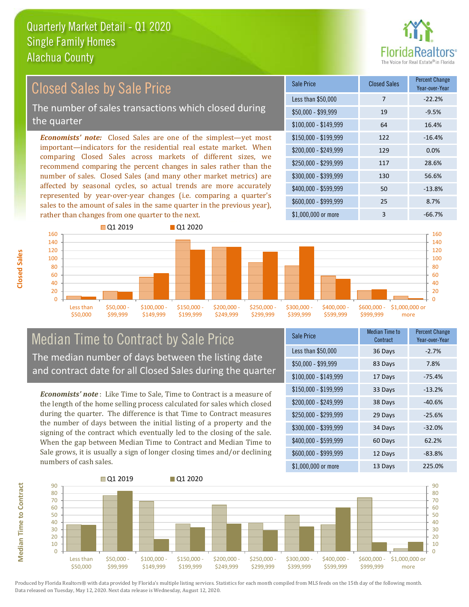

#### \$100,000 - \$149,999 64 16.4% Sale Price Closed Sales Percent Change Year-over-Year Less than \$50,000 7 7 -22.2%  $$50,000 - $99,999$  19  $-9.5\%$ \$150,000 - \$199,999 122 -16.4% \$200,000 - \$249,999 129 0.0% \$400,000 - \$599,999 50 -13.8% \$600,000 - \$999,999 25 8.7% *Economists' note:* Closed Sales are one of the simplest—yet most important—indicators for the residential real estate market. When comparing Closed Sales across markets of different sizes, we recommend comparing the percent changes in sales rather than the number of sales. Closed Sales (and many other market metrics) are affected by seasonal cycles, so actual trends are more accurately represented by year-over-year changes (i.e. comparing a quarter's sales to the amount of sales in the same quarter in the previous year), rather than changes from one quarter to the next. \$1,000,000 or more 3 -66.7% \$250,000 - \$299,999 117 28.6% \$300,000 - \$399,999 130 56.6% Closed Sales by Sale Price The number of sales transactions which closed during the quarter



## Median Time to Contract by Sale Price The median number of days between the listing date and contract date for all Closed Sales during the quarter

*Economists' note* : Like Time to Sale, Time to Contract is a measure of the length of the home selling process calculated for sales which closed during the quarter. The difference is that Time to Contract measures the number of days between the initial listing of a property and the signing of the contract which eventually led to the closing of the sale. When the gap between Median Time to Contract and Median Time to Sale grows, it is usually a sign of longer closing times and/or declining numbers of cash sales.

| Sale Price            | <b>Median Time to</b><br>Contract | <b>Percent Change</b><br>Year-over-Year |
|-----------------------|-----------------------------------|-----------------------------------------|
| Less than \$50,000    | 36 Days                           | $-2.7%$                                 |
| $$50,000 - $99,999$   | 83 Days                           | 7.8%                                    |
| $$100,000 - $149,999$ | 17 Days                           | $-75.4%$                                |
| $$150,000 - $199,999$ | 33 Days                           | $-13.2%$                                |
| \$200,000 - \$249,999 | 38 Days                           | $-40.6%$                                |
| \$250,000 - \$299,999 | 29 Days                           | $-25.6%$                                |
| \$300,000 - \$399,999 | 34 Days                           | $-32.0%$                                |
| \$400,000 - \$599,999 | 60 Days                           | 62.2%                                   |
| \$600,000 - \$999,999 | 12 Days                           | $-83.8%$                                |
| \$1,000,000 or more   | 13 Days                           | 225.0%                                  |



Produced by Florida Realtors® with data provided by Florida's multiple listing services. Statistics for each month compiled from MLS feeds on the 15th day of the following month. Data released on Tuesday, May 12, 2020. Next data release is Wednesday, August 12, 2020.

**Median Time to Contract**

**Median Time to Contract**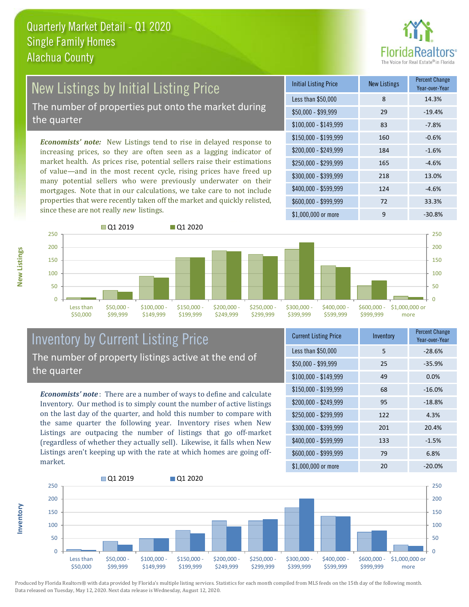

# New Listings by Initial Listing Price

The number of properties put onto the market during the quarter

*Economists' note:* New Listings tend to rise in delayed response to increasing prices, so they are often seen as a lagging indicator of market health. As prices rise, potential sellers raise their estimations of value—and in the most recent cycle, rising prices have freed up many potential sellers who were previously underwater on their mortgages. Note that in our calculations, we take care to not include properties that were recently taken off the market and quickly relisted, since these are not really *new* listings.

| <b>Initial Listing Price</b> | <b>New Listings</b> | <b>Percent Change</b><br>Year-over-Year |
|------------------------------|---------------------|-----------------------------------------|
| Less than \$50,000           | 8                   | 14.3%                                   |
| $$50,000 - $99,999$          | 29                  | $-19.4%$                                |
| $$100,000 - $149,999$        | 83                  | $-7.8%$                                 |
| $$150,000 - $199,999$        | 160                 | $-0.6%$                                 |
| \$200,000 - \$249,999        | 184                 | $-1.6%$                                 |
| \$250,000 - \$299,999        | 165                 | $-4.6%$                                 |
| \$300,000 - \$399,999        | 218                 | 13.0%                                   |
| \$400,000 - \$599,999        | 124                 | $-4.6%$                                 |
| \$600,000 - \$999,999        | 72                  | 33.3%                                   |
| \$1,000,000 or more          | 9                   | $-30.8%$                                |



## Inventory by Current Listing Price The number of property listings active at the end of the quarter

*Economists' note* : There are a number of ways to define and calculate Inventory. Our method is to simply count the number of active listings on the last day of the quarter, and hold this number to compare with the same quarter the following year. Inventory rises when New Listings are outpacing the number of listings that go off-market (regardless of whether they actually sell). Likewise, it falls when New Listings aren't keeping up with the rate at which homes are going offmarket.

| <b>Current Listing Price</b> | Inventory | <b>Percent Change</b><br>Year-over-Year |
|------------------------------|-----------|-----------------------------------------|
| Less than \$50,000           | 5         | $-28.6%$                                |
| $$50,000 - $99,999$          | 25        | $-35.9%$                                |
| $$100,000 - $149,999$        | 49        | 0.0%                                    |
| $$150,000 - $199,999$        | 68        | $-16.0%$                                |
| \$200,000 - \$249,999        | 95        | $-18.8%$                                |
| \$250,000 - \$299,999        | 122       | 4.3%                                    |
| \$300,000 - \$399,999        | 201       | 20.4%                                   |
| \$400,000 - \$599,999        | 133       | $-1.5%$                                 |
| \$600,000 - \$999,999        | 79        | 6.8%                                    |
| \$1,000,000 or more          | 20        | $-20.0\%$                               |



Produced by Florida Realtors® with data provided by Florida's multiple listing services. Statistics for each month compiled from MLS feeds on the 15th day of the following month. Data released on Tuesday, May 12, 2020. Next data release is Wednesday, August 12, 2020.

**Inventory**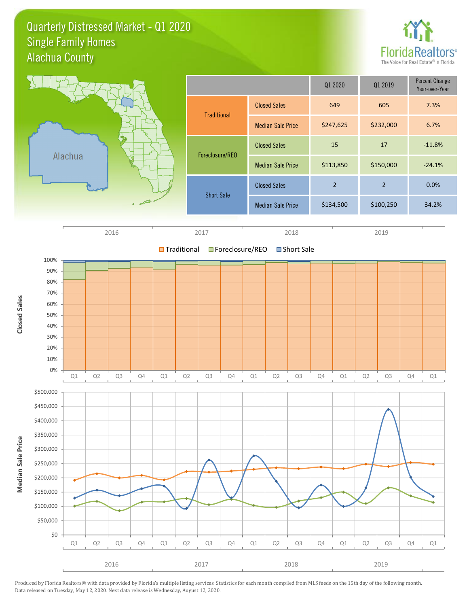Quarterly Distressed Market - Q1 2020 Alachua County Single Family Homes





2016 2017 2018 2019

Q1 Q2 Q3 Q4 Q1 Q2 Q3 Q4 Q1 Q2 Q3 Q4 Q1 Q2 Q3 Q4 Q1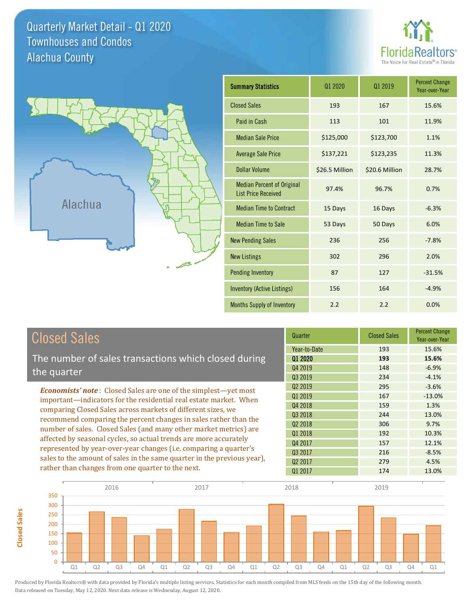Quarterly Market Detail - Q1 2020 Alachua County Townhouses and Condos





**Closed Sales**

**Closed Sales** 

| <b>Summary Statistics</b>                                       | Q1 2020        | 01 2019        | <b>Percent Change</b><br>Year-over-Year |
|-----------------------------------------------------------------|----------------|----------------|-----------------------------------------|
| <b>Closed Sales</b>                                             | 193            | 167            | 15.6%                                   |
| Paid in Cash                                                    | 113            | 101            | 11.9%                                   |
| <b>Median Sale Price</b>                                        | \$125,000      | \$123,700      | 1.1%                                    |
| <b>Average Sale Price</b>                                       | \$137,221      | \$123,235      | 11.3%                                   |
| Dollar Volume                                                   | \$26.5 Million | \$20.6 Million | 28.7%                                   |
| <b>Median Percent of Original</b><br><b>List Price Received</b> | 97.4%          | 96.7%          | 0.7%                                    |
| <b>Median Time to Contract</b>                                  | 15 Days        | 16 Days        | $-6.3%$                                 |
| <b>Median Time to Sale</b>                                      | 53 Days        | 50 Days        | 6.0%                                    |
| <b>New Pending Sales</b>                                        | 236            | 256            | $-7.8%$                                 |
| <b>New Listings</b>                                             | 302            | 296            | 2.0%                                    |
| <b>Pending Inventory</b>                                        | 87             | 127            | $-31.5%$                                |
| <b>Inventory (Active Listings)</b>                              | 156            | 164            | $-4.9%$                                 |
| <b>Months Supply of Inventory</b>                               | 2.2            | 2.2            | 0.0%                                    |

| <b>Closed Sales</b>                                                                                                                                                                                   | Quarter             | <b>Closed Sales</b> | <b>Percent Change</b><br>Year-over-Year |
|-------------------------------------------------------------------------------------------------------------------------------------------------------------------------------------------------------|---------------------|---------------------|-----------------------------------------|
|                                                                                                                                                                                                       | Year-to-Date        | 193                 | 15.6%                                   |
| The number of sales transactions which closed during                                                                                                                                                  | 01 2020             | 193                 | 15.6%                                   |
| the quarter                                                                                                                                                                                           | Q4 2019             | 148                 | $-6.9%$                                 |
|                                                                                                                                                                                                       | 03 2019             | 234                 | $-4.1%$                                 |
| <b>Economists' note:</b> Closed Sales are one of the simplest—yet most                                                                                                                                | Q <sub>2</sub> 2019 | 295                 | $-3.6%$                                 |
| important—indicators for the residential real estate market. When                                                                                                                                     | Q1 2019             | 167                 | $-13.0\%$                               |
| comparing Closed Sales across markets of different sizes, we<br>recommend comparing the percent changes in sales rather than the<br>number of sales. Closed Sales (and many other market metrics) are | Q4 2018             | 159                 | 1.3%                                    |
|                                                                                                                                                                                                       | Q3 2018             | 244                 | 13.0%                                   |
|                                                                                                                                                                                                       | Q <sub>2</sub> 2018 | 306                 | 9.7%                                    |
|                                                                                                                                                                                                       | 01 2018             | 192                 | 10.3%                                   |
| affected by seasonal cycles, so actual trends are more accurately                                                                                                                                     | Q4 2017             | 157                 | 12.1%                                   |
| represented by year-over-year changes (i.e. comparing a quarter's                                                                                                                                     | 03 2017             | 216                 | $-8.5%$                                 |
| sales to the amount of sales in the same quarter in the previous year),                                                                                                                               | Q <sub>2</sub> 2017 | 279                 | 4.5%                                    |
| rather than changes from one quarter to the next.                                                                                                                                                     | 01 2017             | 174                 | 13.0%                                   |

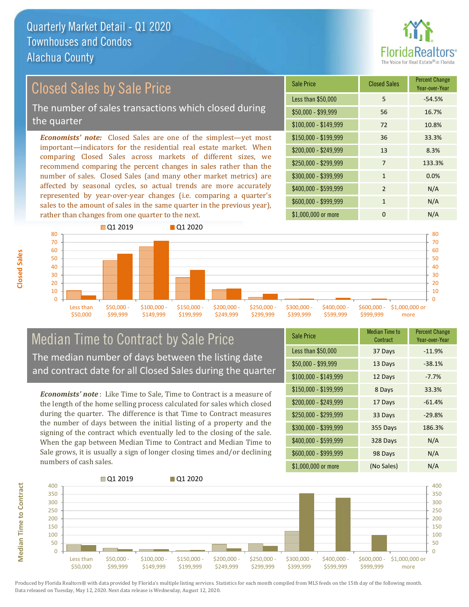

## Closed Sales by Sale Price

The number of sales transactions which closed during the quarter

*Economists' note:* Closed Sales are one of the simplest—yet most important—indicators for the residential real estate market. When comparing Closed Sales across markets of different sizes, we recommend comparing the percent changes in sales rather than the number of sales. Closed Sales (and many other market metrics) are affected by seasonal cycles, so actual trends are more accurately represented by year-over-year changes (i.e. comparing a quarter's sales to the amount of sales in the same quarter in the previous year), rather than changes from one quarter to the next.

| <b>Sale Price</b>     | <b>Closed Sales</b> | <b>Percent Change</b><br>Year-over-Year |
|-----------------------|---------------------|-----------------------------------------|
| Less than \$50,000    | 5                   | $-54.5%$                                |
| $$50,000 - $99,999$   | 56                  | 16.7%                                   |
| $$100,000 - $149,999$ | 72                  | 10.8%                                   |
| $$150,000 - $199,999$ | 36                  | 33.3%                                   |
| \$200,000 - \$249,999 | 13                  | 8.3%                                    |
| \$250,000 - \$299,999 | 7                   | 133.3%                                  |
| \$300,000 - \$399,999 | $\mathbf{1}$        | 0.0%                                    |
| \$400,000 - \$599,999 | $\overline{2}$      | N/A                                     |
| \$600,000 - \$999,999 | 1                   | N/A                                     |
| \$1,000,000 or more   | 0                   | N/A                                     |



## Median Time to Contract by Sale Price The median number of days between the listing date and contract date for all Closed Sales during the quarter

*Economists' note* : Like Time to Sale, Time to Contract is a measure of the length of the home selling process calculated for sales which closed during the quarter. The difference is that Time to Contract measures the number of days between the initial listing of a property and the signing of the contract which eventually led to the closing of the sale. When the gap between Median Time to Contract and Median Time to Sale grows, it is usually a sign of longer closing times and/or declining numbers of cash sales.

| <b>Sale Price</b>     | Median Time to<br>Contract | <b>Percent Change</b><br>Year-over-Year |
|-----------------------|----------------------------|-----------------------------------------|
| Less than \$50,000    | 37 Days                    | $-11.9%$                                |
| $$50,000 - $99,999$   | 13 Days                    | $-38.1%$                                |
| $$100,000 - $149,999$ | 12 Days                    | $-7.7%$                                 |
| $$150,000 - $199,999$ | 8 Days                     | 33.3%                                   |
| \$200,000 - \$249,999 | 17 Days                    | $-61.4%$                                |
| \$250,000 - \$299,999 | 33 Days                    | $-29.8%$                                |
| \$300,000 - \$399,999 | 355 Days                   | 186.3%                                  |
| \$400,000 - \$599,999 | 328 Days                   | N/A                                     |
| \$600,000 - \$999,999 | 98 Days                    | N/A                                     |
| \$1,000,000 or more   | (No Sales)                 | N/A                                     |



Produced by Florida Realtors® with data provided by Florida's multiple listing services. Statistics for each month compiled from MLS feeds on the 15th day of the following month. Data released on Tuesday, May 12, 2020. Next data release is Wednesday, August 12, 2020.

**Median Time to Contract**

**Median Time to Contract**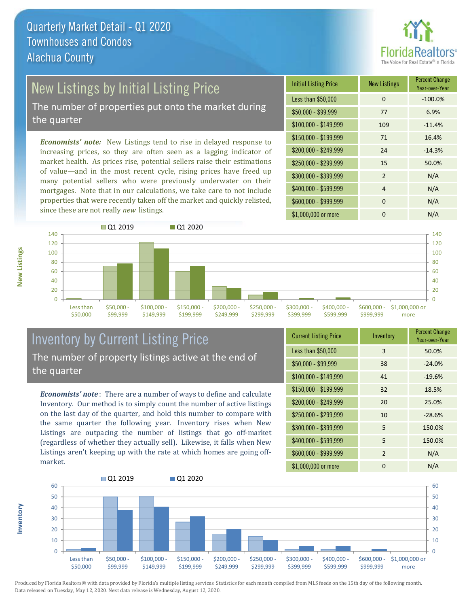

## New Listings by Initial Listing Price

The number of properties put onto the market during the quarter

*Economists' note:* New Listings tend to rise in delayed response to increasing prices, so they are often seen as a lagging indicator of market health. As prices rise, potential sellers raise their estimations of value—and in the most recent cycle, rising prices have freed up many potential sellers who were previously underwater on their mortgages. Note that in our calculations, we take care to not include properties that were recently taken off the market and quickly relisted, since these are not really *new* listings.

| <b>Initial Listing Price</b> | <b>New Listings</b> | <b>Percent Change</b><br>Year-over-Year |
|------------------------------|---------------------|-----------------------------------------|
| Less than \$50,000           | $\Omega$            | $-100.0%$                               |
| $$50,000 - $99,999$          | 77                  | 6.9%                                    |
| $$100,000 - $149,999$        | 109                 | $-11.4%$                                |
| $$150,000 - $199,999$        | 71                  | 16.4%                                   |
| \$200,000 - \$249,999        | 24                  | $-14.3%$                                |
| \$250,000 - \$299,999        | 15                  | 50.0%                                   |
| \$300,000 - \$399,999        | $\mathfrak{p}$      | N/A                                     |
| \$400,000 - \$599,999        | 4                   | N/A                                     |
| \$600,000 - \$999,999        | 0                   | N/A                                     |
| \$1,000,000 or more          | O                   | N/A                                     |



## Inventory by Current Listing Price The number of property listings active at the end of the quarter

*Economists' note* : There are a number of ways to define and calculate Inventory. Our method is to simply count the number of active listings on the last day of the quarter, and hold this number to compare with the same quarter the following year. Inventory rises when New Listings are outpacing the number of listings that go off-market (regardless of whether they actually sell). Likewise, it falls when New Listings aren't keeping up with the rate at which homes are going offmarket.

| <b>Current Listing Price</b> | Inventory | <b>Percent Change</b><br>Year-over-Year |
|------------------------------|-----------|-----------------------------------------|
| Less than \$50,000           | 3         | 50.0%                                   |
| $$50,000 - $99,999$          | 38        | $-24.0%$                                |
| $$100,000 - $149,999$        | 41        | $-19.6%$                                |
| $$150,000 - $199,999$        | 32        | 18.5%                                   |
| \$200,000 - \$249,999        | 20        | 25.0%                                   |
| \$250,000 - \$299,999        | 10        | $-28.6%$                                |
| \$300,000 - \$399,999        | 5         | 150.0%                                  |
| \$400,000 - \$599,999        | 5         | 150.0%                                  |
| \$600,000 - \$999,999        | 2         | N/A                                     |
| \$1,000,000 or more          | ŋ         | N/A                                     |



Produced by Florida Realtors® with data provided by Florida's multiple listing services. Statistics for each month compiled from MLS feeds on the 15th day of the following month. Data released on Tuesday, May 12, 2020. Next data release is Wednesday, August 12, 2020.

**Inventory**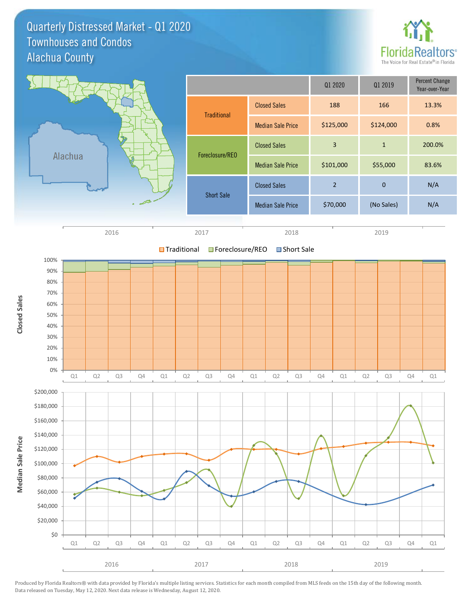Quarterly Distressed Market - Q1 2020 Alachua County Townhouses and Condos



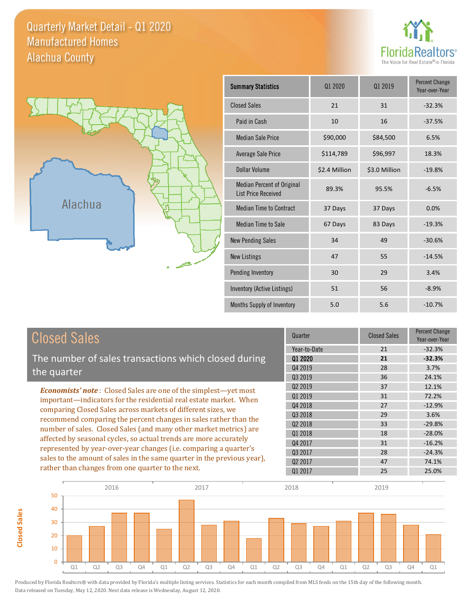Quarterly Market Detail - Q1 2020 Alachua County Manufactured Homes





**Closed Sales**

**Closed Sales** 

| <b>Summary Statistics</b>                                       | 01 2020       | 01 2019       | <b>Percent Change</b><br>Year-over-Year |
|-----------------------------------------------------------------|---------------|---------------|-----------------------------------------|
| <b>Closed Sales</b>                                             | 21            | 31            | $-32.3%$                                |
| Paid in Cash                                                    | 10            | 16            | $-37.5%$                                |
| <b>Median Sale Price</b>                                        | \$90,000      | \$84,500      | 6.5%                                    |
| Average Sale Price                                              | \$114,789     | \$96,997      | 18.3%                                   |
| Dollar Volume                                                   | \$2.4 Million | \$3.0 Million | $-19.8%$                                |
| <b>Median Percent of Original</b><br><b>List Price Received</b> | 89.3%         | 95.5%         | $-6.5%$                                 |
| <b>Median Time to Contract</b>                                  | 37 Days       | 37 Days       | 0.0%                                    |
| <b>Median Time to Sale</b>                                      | 67 Days       | 83 Days       | $-19.3%$                                |
| <b>New Pending Sales</b>                                        | 34            | 49            | $-30.6%$                                |
| <b>New Listings</b>                                             | 47            | 55            | $-14.5%$                                |
| Pending Inventory                                               | 30            | 29            | 3.4%                                    |
| Inventory (Active Listings)                                     | 51            | 56            | $-8.9%$                                 |
| Months Supply of Inventory                                      | 5.0           | 5.6           | $-10.7%$                                |

| <b>Closed Sales</b>                                                                                                                                                                                                                                                             | Quarter             | <b>Closed Sales</b> | <b>Percent Change</b><br>Year-over-Year |
|---------------------------------------------------------------------------------------------------------------------------------------------------------------------------------------------------------------------------------------------------------------------------------|---------------------|---------------------|-----------------------------------------|
|                                                                                                                                                                                                                                                                                 | Year-to-Date        | 21                  | $-32.3%$                                |
| The number of sales transactions which closed during                                                                                                                                                                                                                            | 01 2020             | 21                  | $-32.3%$                                |
| the quarter                                                                                                                                                                                                                                                                     | Q4 2019             | 28                  | 3.7%                                    |
|                                                                                                                                                                                                                                                                                 | Q3 2019             | 36                  | 24.1%                                   |
| <b>Economists' note:</b> Closed Sales are one of the simplest—yet most                                                                                                                                                                                                          | Q <sub>2</sub> 2019 | 37                  | 12.1%                                   |
| important—indicators for the residential real estate market. When                                                                                                                                                                                                               | Q1 2019             | 31                  | 72.2%                                   |
| comparing Closed Sales across markets of different sizes, we                                                                                                                                                                                                                    | Q4 2018             | 27                  | $-12.9%$                                |
| recommend comparing the percent changes in sales rather than the<br>number of sales. Closed Sales (and many other market metrics) are<br>affected by seasonal cycles, so actual trends are more accurately<br>represented by year-over-year changes (i.e. comparing a quarter's | Q3 2018             | 29                  | 3.6%                                    |
|                                                                                                                                                                                                                                                                                 | Q <sub>2</sub> 2018 | 33                  | $-29.8%$                                |
|                                                                                                                                                                                                                                                                                 | 01 2018             | 18                  | $-28.0%$                                |
|                                                                                                                                                                                                                                                                                 | Q4 2017             | 31                  | $-16.2%$                                |
|                                                                                                                                                                                                                                                                                 | Q3 2017             | 28                  | $-24.3%$                                |
| sales to the amount of sales in the same quarter in the previous year),                                                                                                                                                                                                         | 02 2017             | 47                  | 74.1%                                   |
| rather than changes from one quarter to the next.                                                                                                                                                                                                                               | 01 2017             | 25                  | 25.0%                                   |

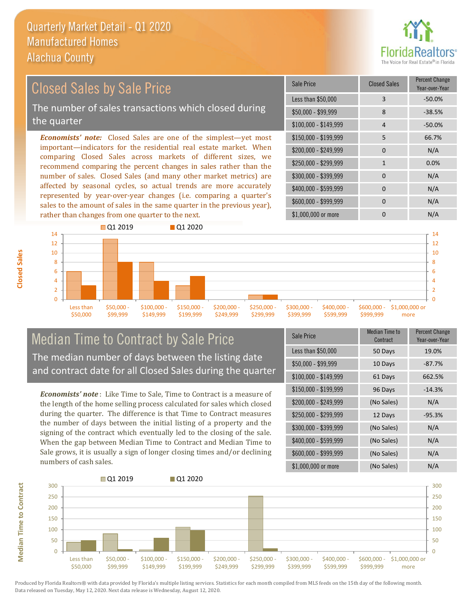

### $$100,000 - $149,999$  4 -50.0% Sale Price Closed Sales Percent Change Year-over-Year Less than \$50,000 3 3 -50.0% \$50,000 - \$99,999 8 -38.5% \$150,000 - \$199,999 5 66.7% \$200,000 - \$249,999 0 0 N/A *Economists' note:* Closed Sales are one of the simplest—yet most important—indicators for the residential real estate market. When comparing Closed Sales across markets of different sizes, we recommend comparing the percent changes in sales rather than the number of sales. Closed Sales (and many other market metrics) are \$250,000 - \$299,999 1 0.0% \$300,000 - \$399,999 0 0 N/A Closed Sales by Sale Price The number of sales transactions which closed during the quarter

affected by seasonal cycles, so actual trends are more accurately represented by year-over-year changes (i.e. comparing a quarter's sales to the amount of sales in the same quarter in the previous year), rather than changes from one quarter to the next.





## Median Time to Contract by Sale Price The median number of days between the listing date and contract date for all Closed Sales during the quarter

*Economists' note* : Like Time to Sale, Time to Contract is a measure of the length of the home selling process calculated for sales which closed during the quarter. The difference is that Time to Contract measures the number of days between the initial listing of a property and the signing of the contract which eventually led to the closing of the sale. When the gap between Median Time to Contract and Median Time to Sale grows, it is usually a sign of longer closing times and/or declining numbers of cash sales.

| <b>Sale Price</b>     | Median Time to<br>Contract | Percent Change<br>Year-over-Year |
|-----------------------|----------------------------|----------------------------------|
| Less than \$50,000    | 50 Days                    | 19.0%                            |
| $$50,000 - $99,999$   | 10 Days                    | $-87.7%$                         |
| $$100,000 - $149,999$ | 61 Days                    | 662.5%                           |
| $$150,000 - $199,999$ | 96 Days                    | $-14.3%$                         |
| \$200,000 - \$249,999 | (No Sales)                 | N/A                              |
| \$250,000 - \$299,999 | 12 Days                    | $-95.3%$                         |
| \$300,000 - \$399,999 | (No Sales)                 | N/A                              |
| \$400,000 - \$599,999 | (No Sales)                 | N/A                              |
| \$600,000 - \$999,999 | (No Sales)                 | N/A                              |
| \$1,000,000 or more   | (No Sales)                 | N/A                              |



**Median Time to Contract** 

**Closed Sales**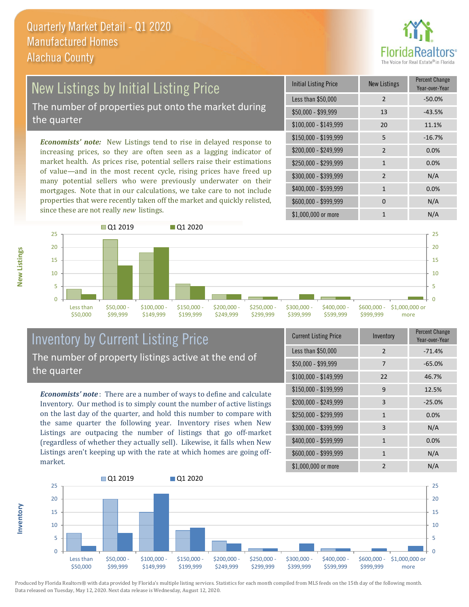

## New Listings by Initial Listing Price The number of properties put onto the market during

the quarter

*Economists' note:* New Listings tend to rise in delayed response to increasing prices, so they are often seen as a lagging indicator of market health. As prices rise, potential sellers raise their estimations of value—and in the most recent cycle, rising prices have freed up many potential sellers who were previously underwater on their mortgages. Note that in our calculations, we take care to not include properties that were recently taken off the market and quickly relisted, since these are not really *new* listings.

| Initial Listing Price | New Listings   | <b>Percent Change</b><br>Year-over-Year |
|-----------------------|----------------|-----------------------------------------|
| Less than \$50,000    | $\overline{2}$ | $-50.0%$                                |
| $$50,000 - $99,999$   | 13             | $-43.5%$                                |
| $$100,000 - $149,999$ | 20             | 11.1%                                   |
| $$150,000 - $199,999$ | 5              | $-16.7%$                                |
| \$200,000 - \$249,999 | $\mathcal{P}$  | 0.0%                                    |
| \$250,000 - \$299,999 | $\mathbf{1}$   | 0.0%                                    |
| \$300,000 - \$399,999 | $\overline{2}$ | N/A                                     |
| \$400,000 - \$599,999 | 1              | 0.0%                                    |
| \$600,000 - \$999,999 | 0              | N/A                                     |
| \$1,000,000 or more   | 1              | N/A                                     |



## Inventory by Current Listing Price The number of property listings active at the end of the quarter

*Economists' note* : There are a number of ways to define and calculate Inventory. Our method is to simply count the number of active listings on the last day of the quarter, and hold this number to compare with the same quarter the following year. Inventory rises when New Listings are outpacing the number of listings that go off-market (regardless of whether they actually sell). Likewise, it falls when New Listings aren't keeping up with the rate at which homes are going offmarket.

| <b>Current Listing Price</b> | Inventory      | Percent Change<br>Year-over-Year |
|------------------------------|----------------|----------------------------------|
| Less than \$50,000           | $\mathcal{P}$  | $-71.4%$                         |
| $$50,000 - $99,999$          | 7              | $-65.0%$                         |
| $$100,000 - $149,999$        | 22             | 46.7%                            |
| \$150,000 - \$199,999        | 9              | 12.5%                            |
| \$200,000 - \$249,999        | 3              | $-25.0%$                         |
| \$250,000 - \$299,999        | $\mathbf{1}$   | 0.0%                             |
| \$300,000 - \$399,999        | 3              | N/A                              |
| \$400,000 - \$599,999        | $\mathbf{1}$   | 0.0%                             |
| \$600,000 - \$999,999        | $\mathbf{1}$   | N/A                              |
| \$1,000,000 or more          | $\mathfrak{p}$ | N/A                              |



Produced by Florida Realtors® with data provided by Florida's multiple listing services. Statistics for each month compiled from MLS feeds on the 15th day of the following month. Data released on Tuesday, May 12, 2020. Next data release is Wednesday, August 12, 2020.

**Inventory**